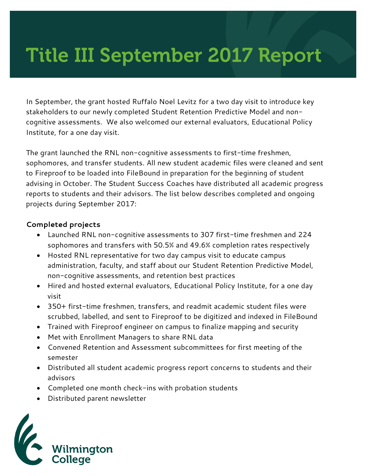# Title III September 2017 Report

In September, the grant hosted Ruffalo Noel Levitz for a two day visit to introduce key stakeholders to our newly completed Student Retention Predictive Model and noncognitive assessments. We also welcomed our external evaluators, Educational Policy Institute, for a one day visit.

The grant launched the RNL non-cognitive assessments to first-time freshmen, sophomores, and transfer students. All new student academic files were cleaned and sent to Fireproof to be loaded into FileBound in preparation for the beginning of student advising in October. The Student Success Coaches have distributed all academic progress reports to students and their advisors. The list below describes completed and ongoing projects during September 2017:

#### **Completed projects**

- Launched RNL non-cognitive assessments to 307 first-time freshmen and 224 sophomores and transfers with 50.5% and 49.6% completion rates respectively
- Hosted RNL representative for two day campus visit to educate campus administration, faculty, and staff about our Student Retention Predictive Model, non-cognitive assessments, and retention best practices
- Hired and hosted external evaluators, Educational Policy Institute, for a one day visit
- 350+ first-time freshmen, transfers, and readmit academic student files were scrubbed, labelled, and sent to Fireproof to be digitized and indexed in FileBound
- Trained with Fireproof engineer on campus to finalize mapping and security
- Met with Enrollment Managers to share RNL data
- Convened Retention and Assessment subcommittees for first meeting of the semester
- Distributed all student academic progress report concerns to students and their advisors
- Completed one month check-ins with probation students
- Distributed parent newsletter

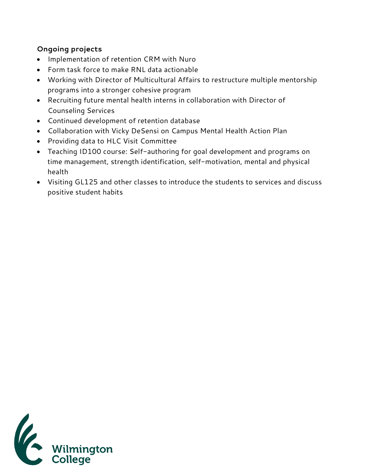## **Ongoing projects**

- Implementation of retention CRM with Nuro
- Form task force to make RNL data actionable
- Working with Director of Multicultural Affairs to restructure multiple mentorship programs into a stronger cohesive program
- Recruiting future mental health interns in collaboration with Director of Counseling Services
- Continued development of retention database
- Collaboration with Vicky DeSensi on Campus Mental Health Action Plan
- Providing data to HLC Visit Committee
- Teaching ID100 course: Self-authoring for goal development and programs on time management, strength identification, self-motivation, mental and physical health
- Visiting GL125 and other classes to introduce the students to services and discuss positive student habits

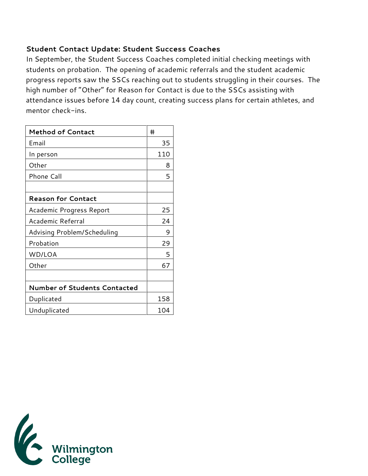#### **Student Contact Update: Student Success Coaches**

In September, the Student Success Coaches completed initial checking meetings with students on probation. The opening of academic referrals and the student academic progress reports saw the SSCs reaching out to students struggling in their courses. The high number of "Other" for Reason for Contact is due to the SSCs assisting with attendance issues before 14 day count, creating success plans for certain athletes, and mentor check-ins.

| <b>Method of Contact</b>            | #   |
|-------------------------------------|-----|
| Email                               | 35  |
| In person                           | 110 |
| Other                               | 8   |
| Phone Call                          | 5   |
|                                     |     |
| <b>Reason for Contact</b>           |     |
| Academic Progress Report            | 25  |
| Academic Referral                   | 24  |
| Advising Problem/Scheduling         | 9   |
| Probation                           | 29  |
| WD/LOA                              | 5   |
| Other                               | 67  |
|                                     |     |
| <b>Number of Students Contacted</b> |     |
| Duplicated                          | 158 |
| Unduplicated                        | 104 |